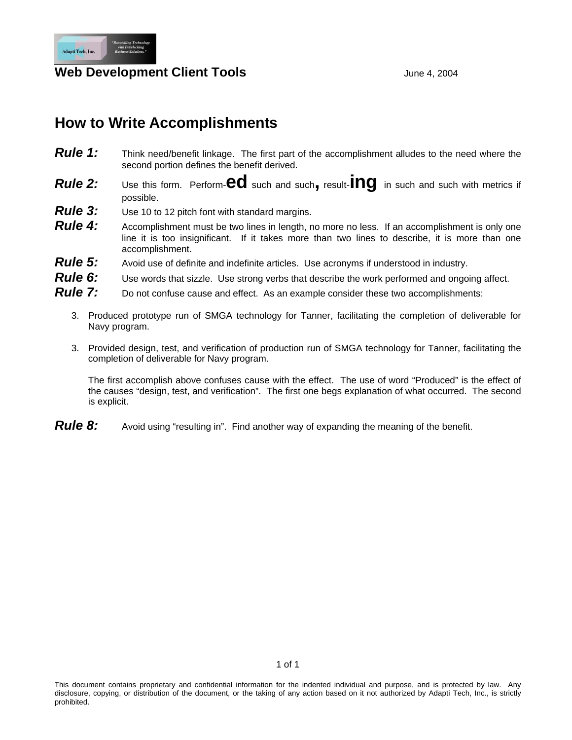

## **Web Development Client Tools June 4, 2004**

# **How to Write Accomplishments**

- **Rule 1:** Think need/benefit linkage. The first part of the accomplishment alludes to the need where the second portion defines the benefit derived.
- *Rule 2:* Use this form. Perform-**ed** such and such**,** result-**ing** in such and such with metrics if possible.
- *Rule 3:* Use 10 to 12 pitch font with standard margins.
- **Rule 4:** Accomplishment must be two lines in length, no more no less. If an accomplishment is only one line it is too insignificant. If it takes more than two lines to describe, it is more than one accomplishment.
- **Rule 5:** Avoid use of definite and indefinite articles. Use acronyms if understood in industry.
- *Rule 6:* Use words that sizzle. Use strong verbs that describe the work performed and ongoing affect.
- **Rule 7:** Do not confuse cause and effect. As an example consider these two accomplishments:
	- 3. Produced prototype run of SMGA technology for Tanner, facilitating the completion of deliverable for Navy program.
	- 3. Provided design, test, and verification of production run of SMGA technology for Tanner, facilitating the completion of deliverable for Navy program.

The first accomplish above confuses cause with the effect. The use of word "Produced" is the effect of the causes "design, test, and verification". The first one begs explanation of what occurred. The second is explicit.

**Rule 8:** Avoid using "resulting in". Find another way of expanding the meaning of the benefit.

This document contains proprietary and confidential information for the indented individual and purpose, and is protected by law. Any disclosure, copying, or distribution of the document, or the taking of any action based on it not authorized by Adapti Tech, Inc., is strictly prohibited.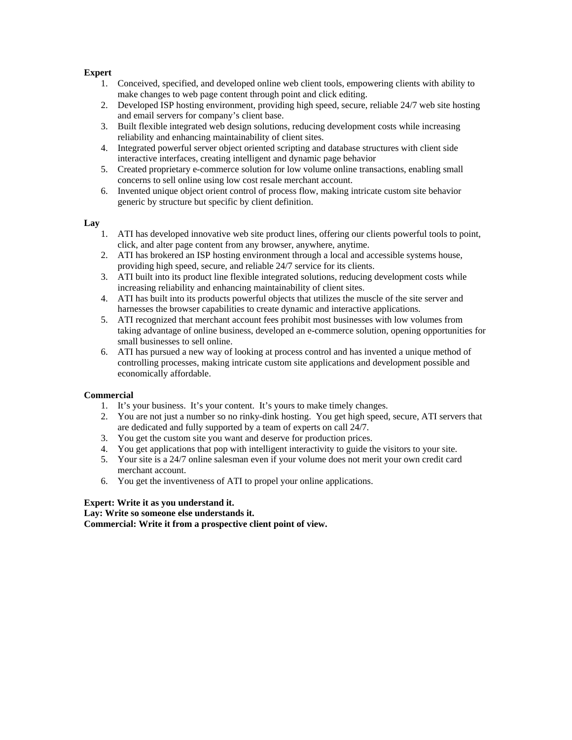#### **Expert**

- 1. Conceived, specified, and developed online web client tools, empowering clients with ability to make changes to web page content through point and click editing.
- 2. Developed ISP hosting environment, providing high speed, secure, reliable 24/7 web site hosting and email servers for company's client base.
- 3. Built flexible integrated web design solutions, reducing development costs while increasing reliability and enhancing maintainability of client sites.
- 4. Integrated powerful server object oriented scripting and database structures with client side interactive interfaces, creating intelligent and dynamic page behavior
- 5. Created proprietary e-commerce solution for low volume online transactions, enabling small concerns to sell online using low cost resale merchant account.
- 6. Invented unique object orient control of process flow, making intricate custom site behavior generic by structure but specific by client definition.

### **Lay**

- 1. ATI has developed innovative web site product lines, offering our clients powerful tools to point, click, and alter page content from any browser, anywhere, anytime.
- 2. ATI has brokered an ISP hosting environment through a local and accessible systems house, providing high speed, secure, and reliable 24/7 service for its clients.
- 3. ATI built into its product line flexible integrated solutions, reducing development costs while increasing reliability and enhancing maintainability of client sites.
- 4. ATI has built into its products powerful objects that utilizes the muscle of the site server and harnesses the browser capabilities to create dynamic and interactive applications.
- 5. ATI recognized that merchant account fees prohibit most businesses with low volumes from taking advantage of online business, developed an e-commerce solution, opening opportunities for small businesses to sell online.
- 6. ATI has pursued a new way of looking at process control and has invented a unique method of controlling processes, making intricate custom site applications and development possible and economically affordable.

#### **Commercial**

- 1. It's your business. It's your content. It's yours to make timely changes.
- 2. You are not just a number so no rinky-dink hosting. You get high speed, secure, ATI servers that are dedicated and fully supported by a team of experts on call 24/7.
- 3. You get the custom site you want and deserve for production prices.
- 4. You get applications that pop with intelligent interactivity to guide the visitors to your site.
- 5. Your site is a 24/7 online salesman even if your volume does not merit your own credit card merchant account.
- 6. You get the inventiveness of ATI to propel your online applications.

#### **Expert: Write it as you understand it.**

**Lay: Write so someone else understands it. Commercial: Write it from a prospective client point of view.**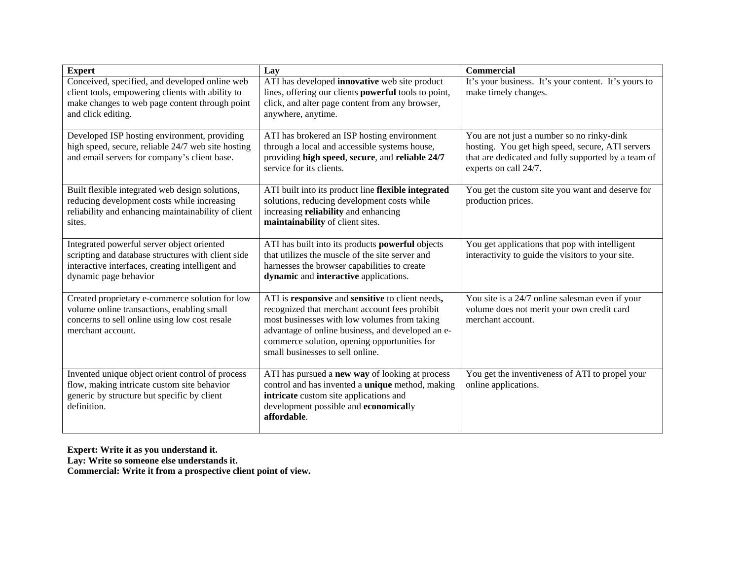| <b>Expert</b>                                                                                                                                                                 | Lav                                                                                                                                                                                                                                                                                         | <b>Commercial</b>                                                                                                                                                              |
|-------------------------------------------------------------------------------------------------------------------------------------------------------------------------------|---------------------------------------------------------------------------------------------------------------------------------------------------------------------------------------------------------------------------------------------------------------------------------------------|--------------------------------------------------------------------------------------------------------------------------------------------------------------------------------|
| Conceived, specified, and developed online web<br>client tools, empowering clients with ability to<br>make changes to web page content through point<br>and click editing.    | ATI has developed innovative web site product<br>lines, offering our clients <b>powerful</b> tools to point,<br>click, and alter page content from any browser,<br>anywhere, anytime.                                                                                                       | It's your business. It's your content. It's yours to<br>make timely changes.                                                                                                   |
| Developed ISP hosting environment, providing<br>high speed, secure, reliable 24/7 web site hosting<br>and email servers for company's client base.                            | ATI has brokered an ISP hosting environment<br>through a local and accessible systems house,<br>providing high speed, secure, and reliable 24/7<br>service for its clients.                                                                                                                 | You are not just a number so no rinky-dink<br>hosting. You get high speed, secure, ATI servers<br>that are dedicated and fully supported by a team of<br>experts on call 24/7. |
| Built flexible integrated web design solutions,<br>reducing development costs while increasing<br>reliability and enhancing maintainability of client<br>sites.               | ATI built into its product line flexible integrated<br>solutions, reducing development costs while<br>increasing reliability and enhancing<br>maintainability of client sites.                                                                                                              | You get the custom site you want and deserve for<br>production prices.                                                                                                         |
| Integrated powerful server object oriented<br>scripting and database structures with client side<br>interactive interfaces, creating intelligent and<br>dynamic page behavior | ATI has built into its products powerful objects<br>that utilizes the muscle of the site server and<br>harnesses the browser capabilities to create<br>dynamic and interactive applications.                                                                                                | You get applications that pop with intelligent<br>interactivity to guide the visitors to your site.                                                                            |
| Created proprietary e-commerce solution for low<br>volume online transactions, enabling small<br>concerns to sell online using low cost resale<br>merchant account.           | ATI is responsive and sensitive to client needs,<br>recognized that merchant account fees prohibit<br>most businesses with low volumes from taking<br>advantage of online business, and developed an e-<br>commerce solution, opening opportunities for<br>small businesses to sell online. | You site is a 24/7 online salesman even if your<br>volume does not merit your own credit card<br>merchant account.                                                             |
| Invented unique object orient control of process<br>flow, making intricate custom site behavior<br>generic by structure but specific by client<br>definition.                 | ATI has pursued a <b>new way</b> of looking at process<br>control and has invented a <i>unique</i> method, making<br>intricate custom site applications and<br>development possible and economically<br>affordable.                                                                         | You get the inventiveness of ATI to propel your<br>online applications.                                                                                                        |

**Expert: Write it as you understand it. Lay: Write so someone else understands it.** 

**Commercial: Write it from a prospective client point of view.**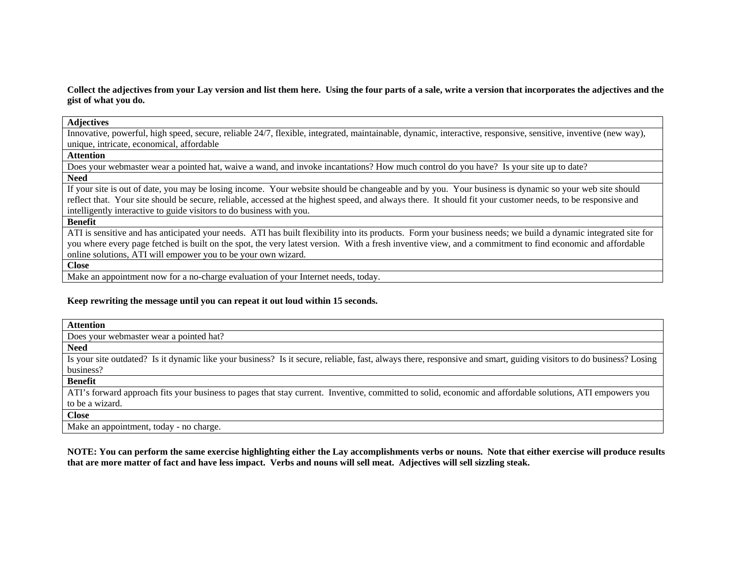**Collect the adjectives from your Lay version and list them here. Using the four parts of a sale, write a version that incorporates the adjectives and the gist of what you do.** 

#### **Adjectives**

Innovative, powerful, high speed, secure, reliable 24/7, flexible, integrated, maintainable, dynamic, interactive, responsive, sensitive, inventive (new way), unique, intricate, economical, affordable

#### **Attention**

Does your webmaster wear a pointed hat, waive a wand, and invoke incantations? How much control do you have? Is your site up to date? **Need** 

If your site is out of date, you may be losing income. Your website should be changeable and by you. Your business is dynamic so your web site should reflect that. Your site should be secure, reliable, accessed at the highest speed, and always there. It should fit your customer needs, to be responsive and intelligently interactive to guide visitors to do business with you.

**Benefit** 

ATI is sensitive and has anticipated your needs. ATI has built flexibility into its products. Form your business needs; we build a dynamic integrated site for you where every page fetched is built on the spot, the very latest version. With a fresh inventive view, and a commitment to find economic and affordable online solutions, ATI will empower you to be your own wizard.

**Close** 

Make an appointment now for a no-charge evaluation of your Internet needs, today.

#### **Keep rewriting the message until you can repeat it out loud within 15 seconds.**

| <b>Attention</b>                                                                                                                                                   |
|--------------------------------------------------------------------------------------------------------------------------------------------------------------------|
| Does your webmaster wear a pointed hat?                                                                                                                            |
| <b>Need</b>                                                                                                                                                        |
| Is your site outdated? Is it dynamic like your business? Is it secure, reliable, fast, always there, responsive and smart, guiding visitors to do business? Losing |
| business?                                                                                                                                                          |
| Benefit                                                                                                                                                            |
| ATI's forward approach fits your business to pages that stay current. Inventive, committed to solid, economic and affordable solutions, ATI empowers you           |
| to be a wizard.                                                                                                                                                    |
| <b>Close</b>                                                                                                                                                       |

Make an appointment, today - no charge.

**NOTE: You can perform the same exercise highlighting either the Lay accomplishments verbs or nouns. Note that either exercise will produce results that are more matter of fact and have less impact. Verbs and nouns will sell meat. Adjectives will sell sizzling steak.**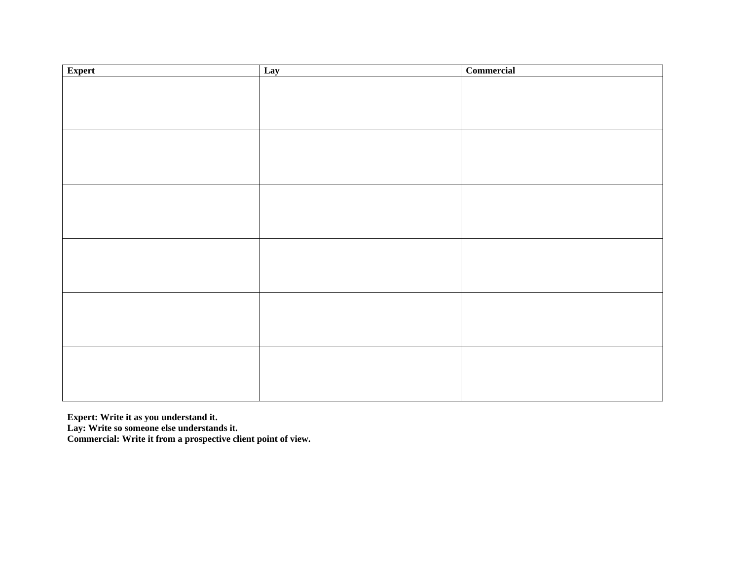| Expert | Lay | Commercial |
|--------|-----|------------|
|        |     |            |
|        |     |            |
|        |     |            |
|        |     |            |
|        |     |            |
|        |     |            |
|        |     |            |
|        |     |            |
|        |     |            |
|        |     |            |
|        |     |            |
|        |     |            |
|        |     |            |
|        |     |            |
|        |     |            |
|        |     |            |
|        |     |            |
|        |     |            |
|        |     |            |
|        |     |            |
|        |     |            |
|        |     |            |
|        |     |            |
|        |     |            |

**Expert: Write it as you understand it.** 

**Lay: Write so someone else understands it.** 

**Commercial: Write it from a prospective client point of view.**